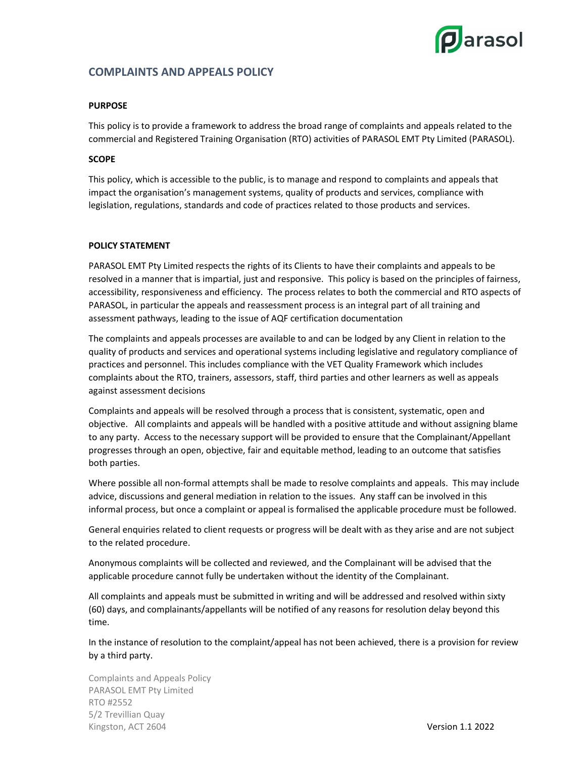

# COMPLAINTS AND APPEALS POLICY

## PURPOSE

This policy is to provide a framework to address the broad range of complaints and appeals related to the commercial and Registered Training Organisation (RTO) activities of PARASOL EMT Pty Limited (PARASOL).

### **SCOPE**

This policy, which is accessible to the public, is to manage and respond to complaints and appeals that impact the organisation's management systems, quality of products and services, compliance with legislation, regulations, standards and code of practices related to those products and services.

### POLICY STATEMENT

PARASOL EMT Pty Limited respects the rights of its Clients to have their complaints and appeals to be resolved in a manner that is impartial, just and responsive. This policy is based on the principles of fairness, accessibility, responsiveness and efficiency. The process relates to both the commercial and RTO aspects of PARASOL, in particular the appeals and reassessment process is an integral part of all training and assessment pathways, leading to the issue of AQF certification documentation

The complaints and appeals processes are available to and can be lodged by any Client in relation to the quality of products and services and operational systems including legislative and regulatory compliance of practices and personnel. This includes compliance with the VET Quality Framework which includes complaints about the RTO, trainers, assessors, staff, third parties and other learners as well as appeals against assessment decisions

Complaints and appeals will be resolved through a process that is consistent, systematic, open and objective. All complaints and appeals will be handled with a positive attitude and without assigning blame to any party. Access to the necessary support will be provided to ensure that the Complainant/Appellant progresses through an open, objective, fair and equitable method, leading to an outcome that satisfies both parties.

Where possible all non-formal attempts shall be made to resolve complaints and appeals. This may include advice, discussions and general mediation in relation to the issues. Any staff can be involved in this informal process, but once a complaint or appeal is formalised the applicable procedure must be followed.

General enquiries related to client requests or progress will be dealt with as they arise and are not subject to the related procedure.

Anonymous complaints will be collected and reviewed, and the Complainant will be advised that the applicable procedure cannot fully be undertaken without the identity of the Complainant.

All complaints and appeals must be submitted in writing and will be addressed and resolved within sixty (60) days, and complainants/appellants will be notified of any reasons for resolution delay beyond this time.

In the instance of resolution to the complaint/appeal has not been achieved, there is a provision for review by a third party.

Complaints and Appeals Policy PARASOL EMT Pty Limited RTO #2552 5/2 Trevillian Quay Kingston, ACT 2604 Version 1.1 2022